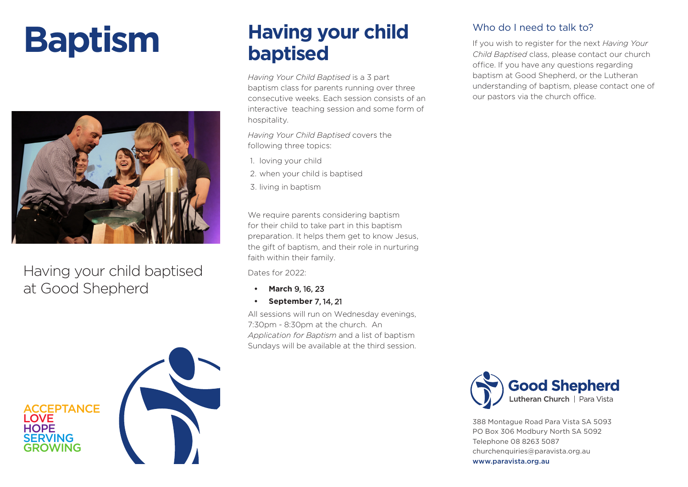# **Baptism**



Having your child baptised at Good Shepherd

**FPTANCE** 

SERVING GROWING

**LOVE HOPE** 

#### **Having your child baptised**

*Having Your Child Baptised* is a 3 part baptism class for parents running over three consecutive weeks. Each session consists of an interactive teaching session and some form of hospitality.

*Having Your Child Baptised* covers the following three topics:

- 1. loving your child
- 2. when your child is baptised
- 3. living in baptism

We require parents considering baptism for their child to take part in this baptism preparation. It helps them get to know Jesus, the gift of baptism, and their role in nurturing faith within their family.

Dates for 2022:

- **• March** 9, 16, 23
- **• September** 7, 14, 21

All sessions will run on Wednesday evenings, 7:30pm - 8:30pm at the church. An *Application for Baptism* and a list of baptism Sundays will be available at the third session.

#### Who do I need to talk to?

If you wish to register for the next *Having Your Child Baptised* class, please contact our church office. If you have any questions regarding baptism at Good Shepherd, or the Lutheran understanding of baptism, please contact one of our pastors via the church office.



388 Montague Road Para Vista SA 5093 PO Box 306 Modbury North SA 5092 Telephone 08 8263 5087 churchenquiries@paravista.org.au www.paravista.org.au